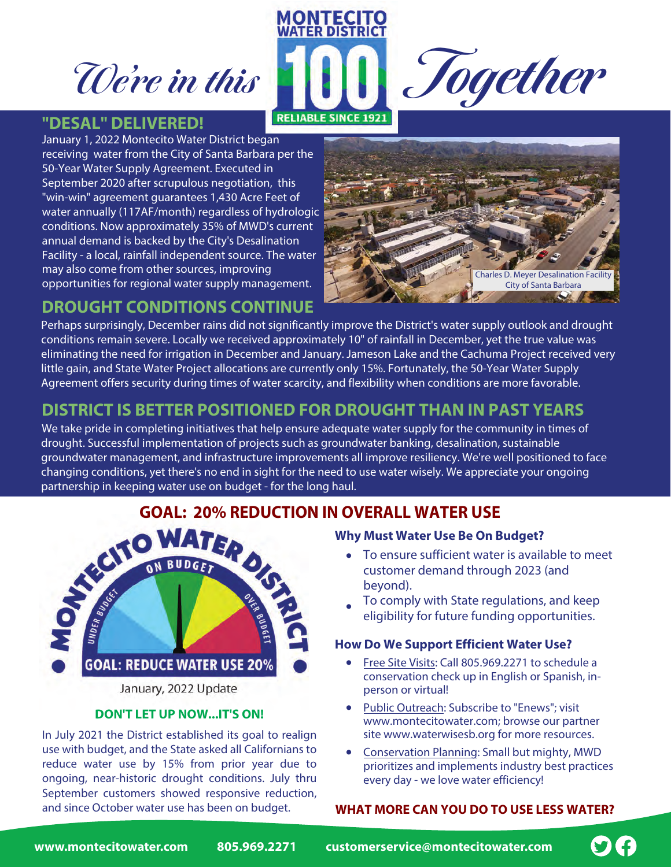**We're in this** 

## **"DESAL" DELIVERED!**

January 1, 2022 Montecito Water District began receiving water from the City of Santa Barbara per the 50-Year Water Supply Agreement. Executed in September 2020 after scrupulous negotiation, this "win-win" agreement guarantees 1,430 Acre Feet of water annually (117AF/month) regardless of hydrologic conditions. Now approximately 35% of MWD's current annual demand is backed by the City's Desalination Facility - a local, rainfall independent source. The water may also come from other sources, improving opportunities for regional water supply management.



**Together**

## **DROUGHT CONDITIONS CONTINUE**

Perhaps surprisingly, December rains did not significantly improve the District's water supply outlook and drought conditions remain severe. Locally we received approximately 10" of rainfall in December, yet the true value was eliminating the need for irrigation in December and January. Jameson Lake and the Cachuma Project received very little gain, and State Water Project allocations are currently only 15%. Fortunately, the 50-Year Water Supply Agreement offers security during times of water scarcity, and flexibility when conditions are more favorable.

**MONTECITO WATER DISTRICT** 

**RELIABLE SINCE 1921** 

## **DISTRICT IS BETTER POSITIONED FOR DROUGHT THAN IN PAST YEARS**

We take pride in completing initiatives that help ensure adequate water supply for the community in times of drought. Successful implementation of projects such as groundwater banking, desalination, sustainable groundwater management, and infrastructure improvements all improve resiliency. We're well positioned to face changing conditions, yet there's no end in sight for the need to use water wisely. We appreciate your ongoing partnership in keeping water use on budget - for the long haul.



**DON'T LET UP NOW...IT'S ON!** In July 2021 the District established its goal to realign use with budget, and the State asked all Californians to reduce water use by 15% from prior year due to ongoing, near-historic drought conditions. July thru September customers showed responsive reduction,

## **Why Must Water Use Be On Budget?**

- To ensure sufficient water is available to meet customer demand through 2023 (and beyond).
- To comply with State regulations, and keep eligibility for future funding opportunities.

## **How Do We Support Efficient Water Use?**

- Free Site Visits: Call 805.969.2271 to schedule a conservation check up in English or Spanish, inperson or virtual!
- Public Outreach: Subscribe to "Enews"; visit www.montecitowater.com; browse our partner site www.waterwisesb.org for more resources.
- Conservation Planning: Small but mighty, MWD prioritizes and implements industry best practices every day - we love water efficiency!

## and since October water use has been on budget. **WHAT MORE CAN YOU DO TO USE LESS WATER?**